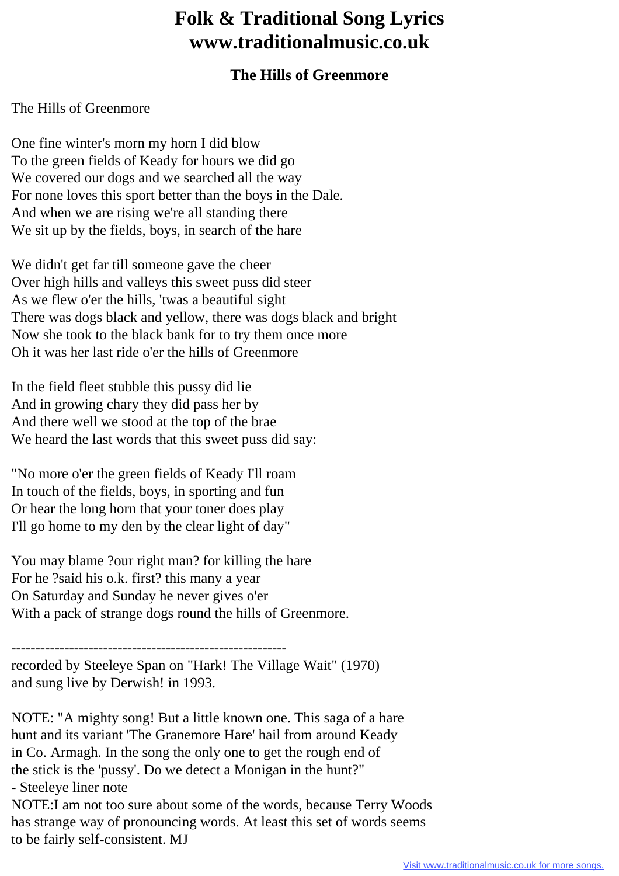## **Folk & Traditional Song Lyrics www.traditionalmusic.co.uk**

## **The Hills of Greenmore**

## The Hills of Greenmore

One fine winter's morn my horn I did blow To the green fields of Keady for hours we did go We covered our dogs and we searched all the way For none loves this sport better than the boys in the Dale. And when we are rising we're all standing there We sit up by the fields, boys, in search of the hare

We didn't get far till someone gave the cheer Over high hills and valleys this sweet puss did steer As we flew o'er the hills, 'twas a beautiful sight There was dogs black and yellow, there was dogs black and bright Now she took to the black bank for to try them once more Oh it was her last ride o'er the hills of Greenmore

In the field fleet stubble this pussy did lie And in growing chary they did pass her by And there well we stood at the top of the brae We heard the last words that this sweet puss did say:

"No more o'er the green fields of Keady I'll roam In touch of the fields, boys, in sporting and fun Or hear the long horn that your toner does play I'll go home to my den by the clear light of day"

You may blame ?our right man? for killing the hare For he ?said his o.k. first? this many a year On Saturday and Sunday he never gives o'er With a pack of strange dogs round the hills of Greenmore.

-------------------------------------------------------- recorded by Steeleye Span on "Hark! The Village Wait" (1970) and sung live by Derwish! in 1993.

NOTE: "A mighty song! But a little known one. This saga of a hare hunt and its variant 'The Granemore Hare' hail from around Keady in Co. Armagh. In the song the only one to get the rough end of the stick is the 'pussy'. Do we detect a Monigan in the hunt?" - Steeleye liner note NOTE:I am not too sure about some of the words, because Terry Woods

has strange way of pronouncing words. At least this set of words seems to be fairly self-consistent. MJ